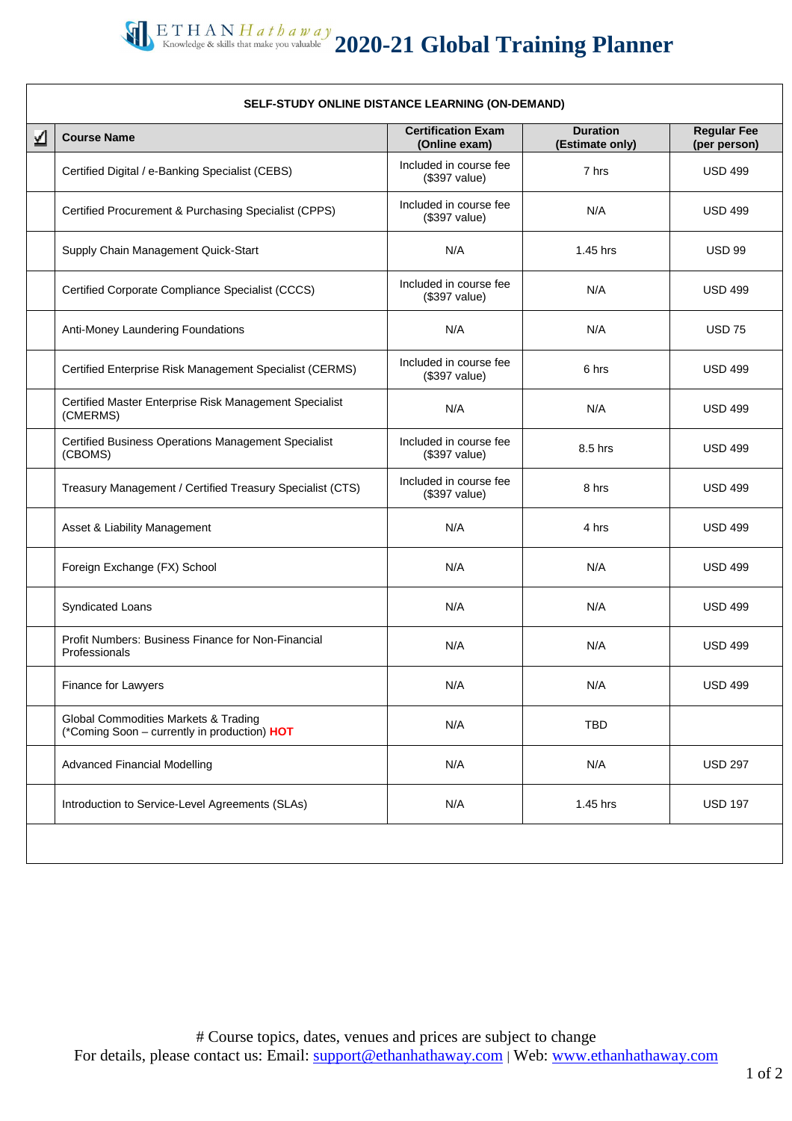## **2020-21 Global Training Planner**

| <b>Course Name</b>                                                                   | <b>Certification Exam</b><br>(Online exam) | <b>Duration</b><br>(Estimate only) | <b>Regular Fee</b><br>(per person) |  |
|--------------------------------------------------------------------------------------|--------------------------------------------|------------------------------------|------------------------------------|--|
| Certified Digital / e-Banking Specialist (CEBS)                                      | Included in course fee<br>(\$397 value)    | 7 hrs                              | <b>USD 499</b>                     |  |
| Certified Procurement & Purchasing Specialist (CPPS)                                 | Included in course fee<br>(\$397 value)    | N/A                                | <b>USD 499</b>                     |  |
| Supply Chain Management Quick-Start                                                  | N/A                                        | 1.45 hrs                           | <b>USD 99</b>                      |  |
| Certified Corporate Compliance Specialist (CCCS)                                     | Included in course fee<br>(\$397 value)    | N/A                                | <b>USD 499</b>                     |  |
| Anti-Money Laundering Foundations                                                    | N/A                                        | N/A                                | <b>USD 75</b>                      |  |
| Certified Enterprise Risk Management Specialist (CERMS)                              | Included in course fee<br>(\$397 value)    | 6 hrs                              | <b>USD 499</b>                     |  |
| Certified Master Enterprise Risk Management Specialist<br>(CMERMS)                   | N/A                                        | N/A                                | <b>USD 499</b>                     |  |
| Certified Business Operations Management Specialist<br>(CBOMS)                       | Included in course fee<br>(\$397 value)    | 8.5 hrs                            | <b>USD 499</b>                     |  |
| Treasury Management / Certified Treasury Specialist (CTS)                            | Included in course fee<br>(\$397 value)    | 8 hrs                              | <b>USD 499</b>                     |  |
| Asset & Liability Management                                                         | N/A                                        | 4 hrs                              | <b>USD 499</b>                     |  |
| Foreign Exchange (FX) School                                                         | N/A                                        | N/A                                | <b>USD 499</b>                     |  |
| Syndicated Loans                                                                     | N/A                                        | N/A                                | <b>USD 499</b>                     |  |
| Profit Numbers: Business Finance for Non-Financial<br>Professionals                  | N/A                                        | N/A                                | <b>USD 499</b>                     |  |
| Finance for Lawyers                                                                  | N/A                                        | N/A                                | <b>USD 499</b>                     |  |
| Global Commodities Markets & Trading<br>(*Coming Soon - currently in production) HOT | N/A                                        | <b>TBD</b>                         |                                    |  |
| <b>Advanced Financial Modelling</b>                                                  | N/A                                        | N/A                                | <b>USD 297</b>                     |  |
| Introduction to Service-Level Agreements (SLAs)                                      | N/A                                        | 1.45 hrs                           | <b>USD 197</b>                     |  |